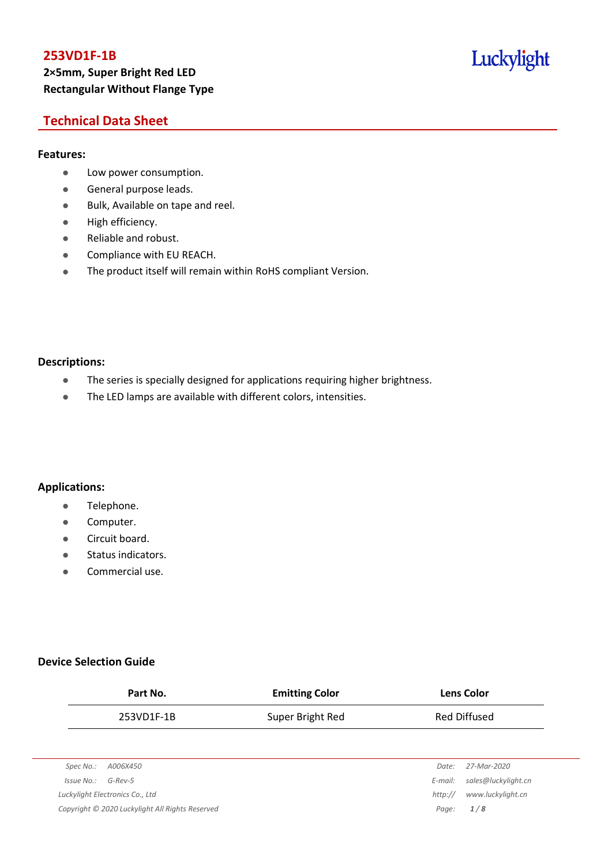# **253VD1F-1B 2×5mm, Super Bright Red LED Rectangular Without Flange Type**

# Luckylight

## **Technical Data Sheet**

#### **Features:**

- **•** Low power consumption.
- **General purpose leads.**
- Bulk, Available on tape and reel.
- High efficiency.
- Reliable and robust.
- **•** Compliance with EU REACH.
- The product itself will remain within RoHS compliant Version.

#### **Descriptions:**

- The series is specially designed for applications requiring higher brightness.
- The LED lamps are available with different colors, intensities.

### **Applications:**

- **•** Telephone.
- **•** Computer.
- **•** Circuit board.
- **•** Status indicators.
- Commercial use.

### **Device Selection Guide**

| Part No.                        | <b>Emitting Color</b> | <b>Lens Color</b>              |  |
|---------------------------------|-----------------------|--------------------------------|--|
| 253VD1F-1B                      | Super Bright Red      | <b>Red Diffused</b>            |  |
|                                 |                       |                                |  |
| Spec No.:<br>A006X450           |                       | 27-Mar-2020<br>Date:           |  |
| $G$ -Rev-5<br>Issue No.:        |                       | sales@luckylight.cn<br>E-mail: |  |
| Luckylight Electronics Co., Ltd |                       | www.luckylight.cn<br>http://   |  |

*Copyright © 2020 Luckylight All Rights Reserved Page: 1 / 8*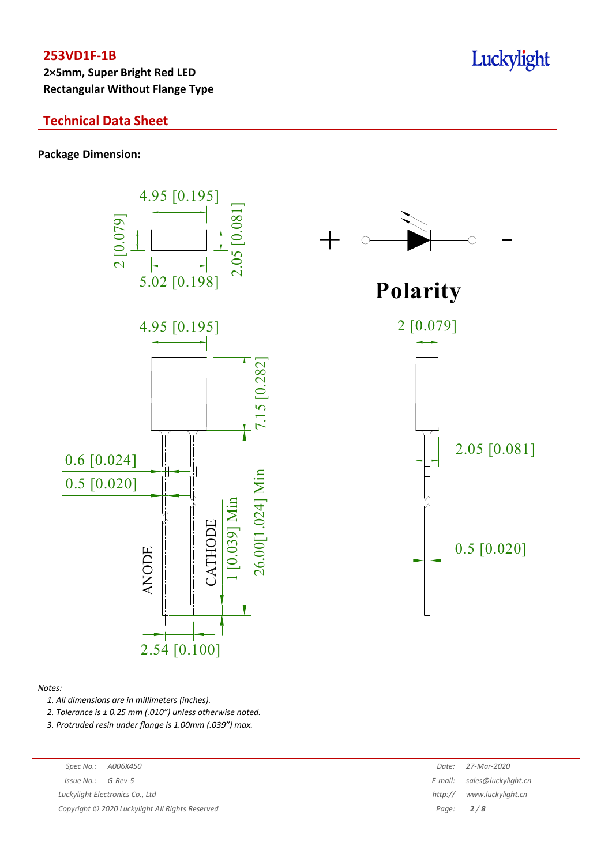**2×5mm, Super Bright Red LED Rectangular Without Flange Type**

## **Technical Data Sheet**

**Package Dimension:**



#### *Notes:*

*1. All dimensions are in millimeters (inches).*

*2. Tolerance is ± 0.25 mm (.010″) unless otherwise noted.*

*3. Protruded resin under flange is 1.00mm (.039″) max.*

|                      | Spec No.: A006X450                              | Date:       | 27-Mar-2020               |
|----------------------|-------------------------------------------------|-------------|---------------------------|
| $Issue No.: G-Rev-5$ |                                                 | E-mail:     | sales@luckylight.cn       |
|                      | Luckylight Electronics Co., Ltd                 |             | http:// www.luckylight.cn |
|                      | Copyright © 2020 Luckylight All Rights Reserved | Page: $2/8$ |                           |
|                      |                                                 |             |                           |

# Luckylight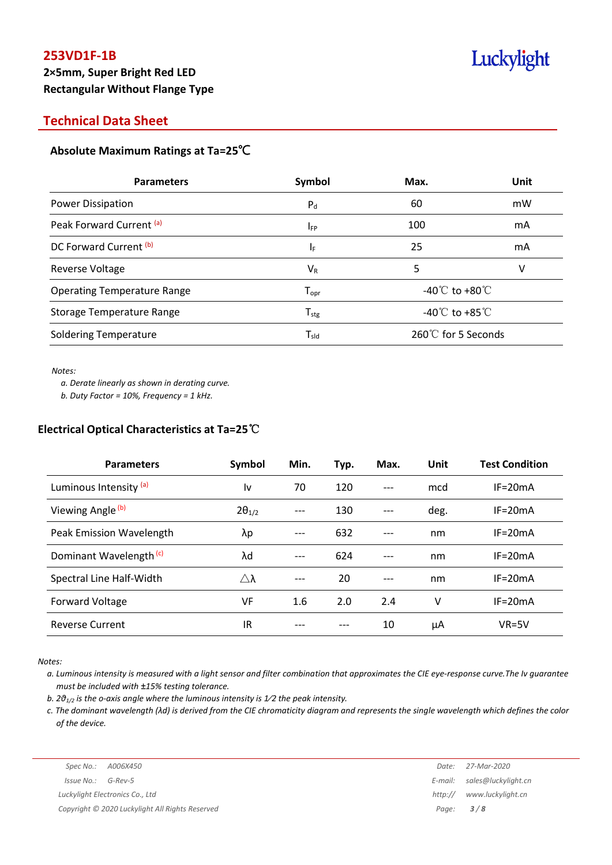# **253VD1F-1B 2×5mm, Super Bright Red LED Rectangular Without Flange Type**

# Luckylight

## **Technical Data Sheet**

### **Absolute Maximum Ratings at Ta=25**℃

| <b>Parameters</b>                  | Symbol                       | Max.                                 | Unit |
|------------------------------------|------------------------------|--------------------------------------|------|
| Power Dissipation                  | $P_{d}$                      | 60                                   | mW   |
| Peak Forward Current (a)           | <b>I</b> <sub>FP</sub>       | 100                                  | mA   |
| DC Forward Current (b)             | ΙF                           | 25                                   | mA   |
| Reverse Voltage                    | $V_{R}$                      | 5                                    | v    |
| <b>Operating Temperature Range</b> | ${\mathsf T}_{\textsf{opr}}$ | -40 $^{\circ}$ C to +80 $^{\circ}$ C |      |
| Storage Temperature Range          | $T_{\text{stg}}$             | -40 $^{\circ}$ C to +85 $^{\circ}$ C |      |
| <b>Soldering Temperature</b>       | $\mathsf{T}_{\mathsf{sld}}$  | 260℃ for 5 Seconds                   |      |

#### *Notes:*

*a. Derate linearly as shown in derating curve.*

*b. Duty Factor = 10%, Frequency = 1 kHz.*

#### **Electrical Optical Characteristics at Ta=25**℃

| <b>Parameters</b>                  | Symbol          | Min. | Typ. | Max. | Unit | <b>Test Condition</b> |
|------------------------------------|-----------------|------|------|------|------|-----------------------|
| Luminous Intensity (a)             | ١v              | 70   | 120  | ---  | mcd  | $IF = 20mA$           |
| Viewing Angle (b)                  | $2\theta_{1/2}$ |      | 130  | ---  | deg. | $IF = 20mA$           |
| Peak Emission Wavelength           | λp              | ---  | 632  | ---  | nm   | $IF = 20mA$           |
| Dominant Wavelength <sup>(c)</sup> | λd              | ---  | 624  | ---  | nm   | $IF = 20mA$           |
| Spectral Line Half-Width           | Λλ              |      | 20   | ---  | nm   | $IF = 20mA$           |
| Forward Voltage                    | VF              | 1.6  | 2.0  | 2.4  | ٧    | $IF = 20mA$           |
| <b>Reverse Current</b>             | IR              |      |      | 10   | μA   | $VR=5V$               |

*Notes:*

a. Luminous intensity is measured with a light sensor and filter combination that approximates the CIE eye-response curve. The Iv guarantee *must be included with ±15% testing tolerance.*

*b. 2θ1/2 is the o-axis angle where the luminous intensity is 1⁄2 the peak intensity.*

c. The dominant wavelength ( $\lambda$ d) is derived from the CIE chromaticity diagram and represents the single wavelength which defines the color *of the device.*

*Spec No.: A006X450 Date: 27-Mar-2020*

*Issue No.: G-Rev-5 E-mail: sales@luckylight.cn Luckylight Electronics Co., Ltd http:// www.luckylight.cn Copyright © 2020 Luckylight All Rights Reserved Page: 3 / 8*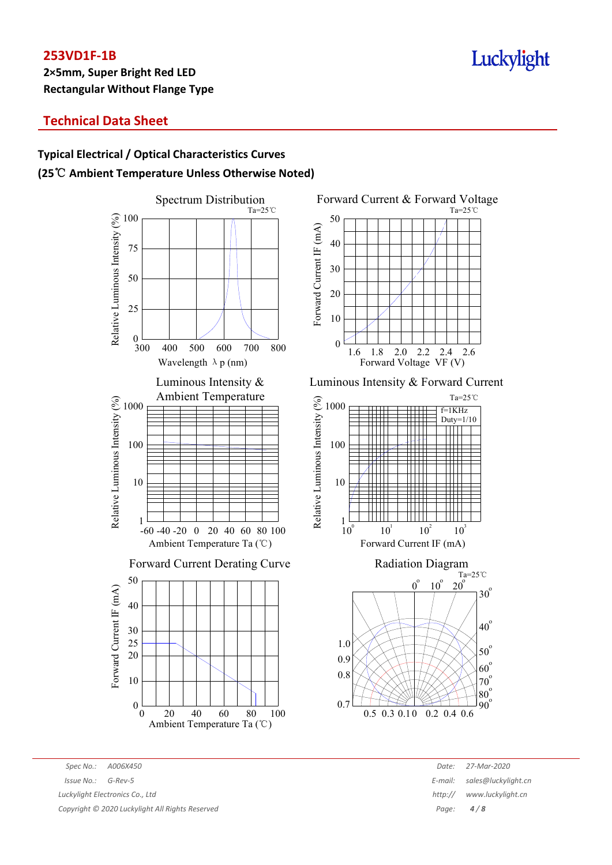# Luckylight

# **Technical Data Sheet**

# **Typical Electrical / Optical Characteristics Curves (25**℃ **Ambient Temperature Unless Otherwise Noted)**





Luminous Intensity & Forward Current





*Spec No.: A006X450 Date: 27-Mar-2020 Issue No.: G-Rev-5 E-mail: sales@luckylight.cn Luckylight Electronics Co., Ltd http:// www.luckylight.cn*

*Copyright © 2020 Luckylight All Rights Reserved Page: 4 / 8*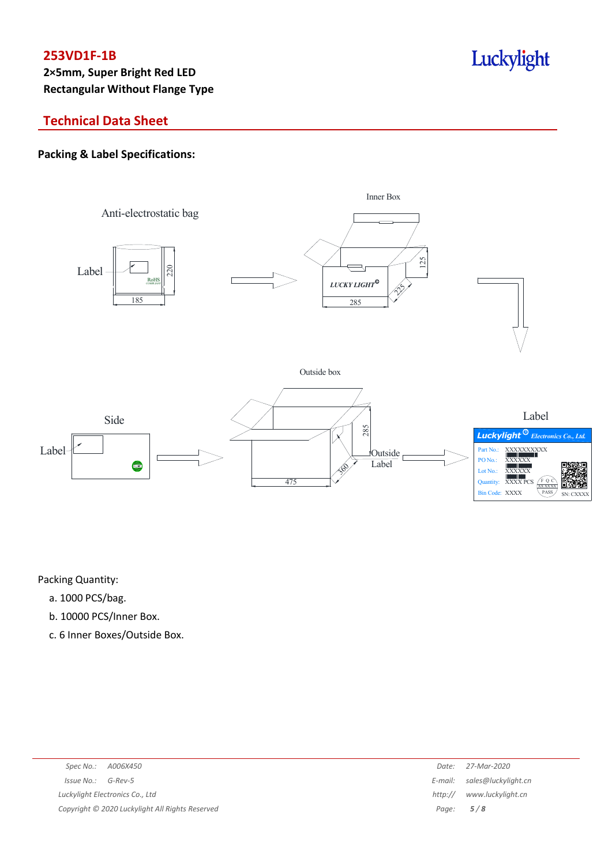# Luckylight

# **Technical Data Sheet**

## **Packing & Label Specifications:**



Packing Quantity:

- a. 1000 PCS/bag.
- b. 10000 PCS/Inner Box.
- c. 6 Inner Boxes/Outside Box.

| Spec No.: A006X450                              | Date:   | 27-Mar-2020                 |
|-------------------------------------------------|---------|-----------------------------|
| $Issue No.: G-Rev-5$                            |         | E-mail: sales@luckylight.cn |
| Luckylight Electronics Co., Ltd                 | http:// | www.luckylight.cn           |
| Copyright © 2020 Luckylight All Rights Reserved |         | Page: $5/8$                 |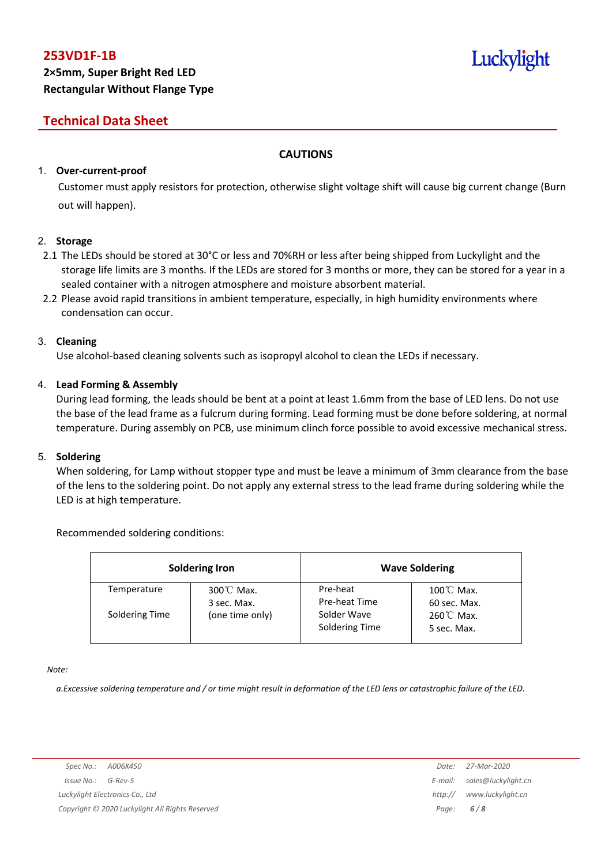# **Technical Data Sheet**

## **CAUTIONS**

## 1. **Over-current-proof**

Customer must apply resistors for protection, otherwise slight voltage shift will cause big current change (Burn out will happen).

### 2. **Storage**

- 2.1 The LEDs should be stored at 30°C or less and 70%RH or less after being shipped from Luckylight and the storage life limits are 3 months. If the LEDs are stored for 3 months or more, they can be stored for a year in a sealed container with a nitrogen atmosphere and moisture absorbent material.
- 2.2 Please avoid rapid transitions in ambient temperature, especially, in high humidity environments where condensation can occur.

### 3. **Cleaning**

Use alcohol-based cleaning solvents such as isopropyl alcohol to clean the LEDs if necessary.

### 4. **Lead Forming & Assembly**

During lead forming, the leads should be bent at a point at least 1.6mm from the base of LED lens. Do not use the base of the lead frame as a fulcrum during forming. Lead forming must be done before soldering, at normal temperature. During assembly on PCB, use minimum clinch force possible to avoid excessive mechanical stress.

### 5. **Soldering**

When soldering, for Lamp without stopper type and must be leave a minimum of 3mm clearance from the base of the lens to the soldering point. Do not apply any external stress to the lead frame during soldering while the LED is at high temperature.

### Recommended soldering conditions:

| <b>Soldering Iron</b> |                                     | <b>Wave Soldering</b>         |                                      |  |
|-----------------------|-------------------------------------|-------------------------------|--------------------------------------|--|
| Temperature           | $300^{\circ}$ C Max.<br>3 sec. Max. | Pre-heat<br>Pre-heat Time     | $100^{\circ}$ C Max.<br>60 sec. Max. |  |
| Soldering Time        | (one time only)                     | Solder Wave<br>Soldering Time | 260℃ Max.<br>5 sec. Max.             |  |

*Note:*

a. Excessive soldering temperature and / or time might result in deformation of the LED lens or catastrophic failure of the LED.

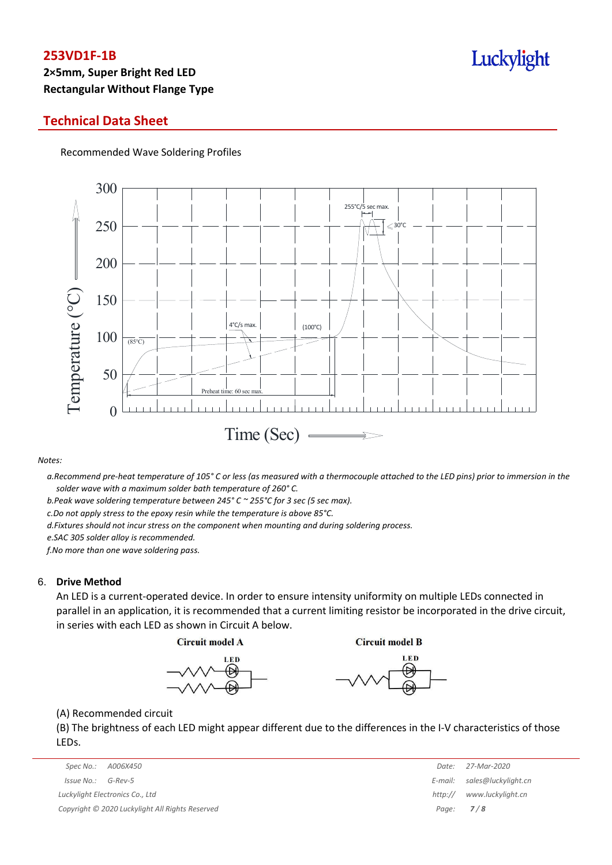# **2×5mm, Super Bright Red LED Rectangular Without Flange Type**

## **Technical Data Sheet**

Recommended Wave Soldering Profiles



#### *Notes:*

a. Recommend pre-heat temperature of 105° C or less (as measured with a thermocouple attached to the LED pins) prior to immersion in the *solder wave with a maximum solder bath temperature of 260° C.*

*b.Peak wave soldering temperature between 245° C ~ 255°C for 3 sec (5 sec max).*

*c.Do not apply stress to the epoxy resin while the temperature is above 85°C.*

*d.Fixtures should not incur stress on the component when mounting and during soldering process.*

*e.SAC 305 solder alloy is recommended.*

*f.No more than one wave soldering pass.*

#### 6. **Drive Method**

An LED is a current-operated device. In order to ensure intensity uniformity on multiple LEDs connected in parallel in an application, it is recommended that a current limiting resistor be incorporated in the drive circuit, in series with each LED as shown in Circuit A below.

**Circuit model A** 

**Circuit model B** 





(A) Recommended circuit

(B) The brightness of each LED might appear different due to the differences in the I-V characteristics of those LEDs.

| Spec No.: A006X450                              | Date:       | 27-Mar-2020         |
|-------------------------------------------------|-------------|---------------------|
| Issue No.:<br>G-Rev-5                           | E-mail:     | sales@luckylight.cn |
| Luckylight Electronics Co., Ltd                 | http://     | www.luckylight.cn   |
| Copyright © 2020 Luckylight All Rights Reserved | Page: $7/8$ |                     |

|                  | Date: 27-Mar-2020           |
|------------------|-----------------------------|
|                  | E-mail: sales@luckylight.cn |
| http://          | www.luckylight.cn           |
| Page: <b>7/8</b> |                             |

# Luckylight